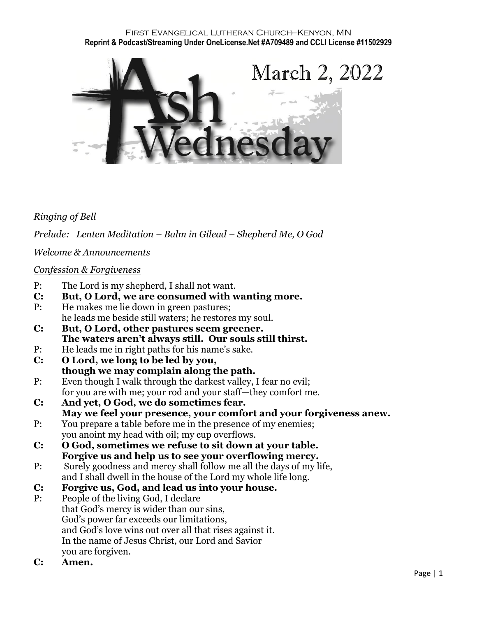#### First Evangelical Lutheran Church—Kenyon, MN **Reprint & Podcast/Streaming Under OneLicense.Net #A709489 and CCLI License #11502929**



## *Ringing of Bell*

*Prelude: Lenten Meditation – Balm in Gilead – Shepherd Me, O God*

*Welcome & Announcements*

#### *Confession & Forgiveness*

- P: The Lord is my shepherd, I shall not want.
- **C: But, O Lord, we are consumed with wanting more.**
- P: He makes me lie down in green pastures; he leads me beside still waters; he restores my soul.
- **C: But, O Lord, other pastures seem greener. The waters aren't always still. Our souls still thirst.**
- P: He leads me in right paths for his name's sake.
- **C: O Lord, we long to be led by you, though we may complain along the path.**
- P: Even though I walk through the darkest valley, I fear no evil; for you are with me; your rod and your staff—they comfort me.
- **C: And yet, O God, we do sometimes fear. May we feel your presence, your comfort and your forgiveness anew.**
- P: You prepare a table before me in the presence of my enemies; you anoint my head with oil; my cup overflows.
- **C: O God, sometimes we refuse to sit down at your table. Forgive us and help us to see your overflowing mercy.**
- P: Surely goodness and mercy shall follow me all the days of my life, and I shall dwell in the house of the Lord my whole life long.
- **C: Forgive us, God, and lead us into your house.**
- P: People of the living God, I declare that God's mercy is wider than our sins, God's power far exceeds our limitations, and God's love wins out over all that rises against it. In the name of Jesus Christ, our Lord and Savior you are forgiven.
- **C: Amen.**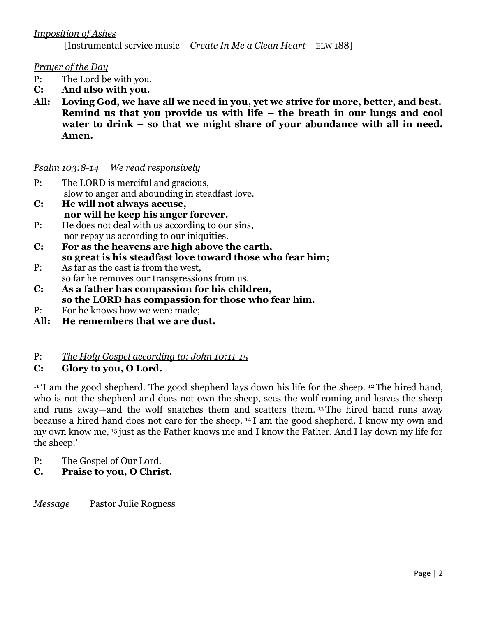# *Imposition of Ashes*

[Instrumental service music – *Create In Me a Clean Heart -* ELW 188]

## *Prayer of the Day*

- P: The Lord be with you.
- **C: And also with you.**
- **All: Loving God, we have all we need in you, yet we strive for more, better, and best. Remind us that you provide us with life – the breath in our lungs and cool water to drink – so that we might share of your abundance with all in need. Amen.**

## *Psalm 103:8-14 We read responsively*

- P: The LORD is merciful and gracious, slow to anger and abounding in steadfast love.
- **C: He will not always accuse, nor will he keep his anger forever.**
- P: He does not deal with us according to our sins, nor repay us according to our iniquities.
- **C: For as the heavens are high above the earth, so great is his steadfast love toward those who fear him;**
- P: As far as the east is from the west, so far he removes our transgressions from us.
- **C: As a father has compassion for his children, so the LORD has compassion for those who fear him.**
- P: For he knows how we were made;
- **All: He remembers that we are dust.**

## P: *The Holy Gospel according to: John 10:11-15*

## **C: Glory to you, O Lord.**

 $11$  T am the good shepherd. The good shepherd lays down his life for the sheep.  $12$  The hired hand, who is not the shepherd and does not own the sheep, sees the wolf coming and leaves the sheep and runs away—and the wolf snatches them and scatters them. <sup>13</sup> The hired hand runs away because a hired hand does not care for the sheep. <sup>14</sup> I am the good shepherd. I know my own and my own know me, <sup>15</sup> just as the Father knows me and I know the Father. And I lay down my life for the sheep.'

- P: The Gospel of Our Lord.
- **C. Praise to you, O Christ.**

*Message* Pastor Julie Rogness